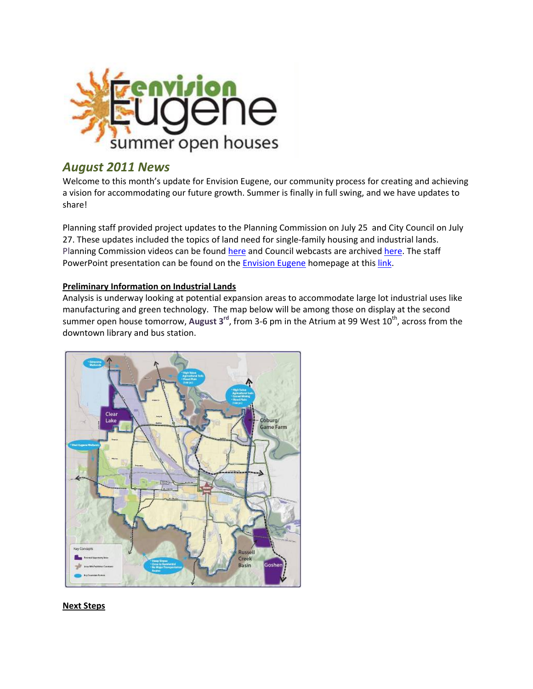

## *August 2011 News*

Welcome to this month's update for Envision Eugene, our community process for creating and achieving a vision for accommodating our future growth. Summer is finally in full swing, and we have updates to share!

Planning staff provided project updates to the Planning Commission on July 25 and City Council on July 27. These updates included the topics of land need for single-family housing and industrial lands. Planning Commission videos can be found [here](http://www.eugene-or.gov/portal/server.pt?space=CommunityPage&cached=true&parentname=CommunityPage&parentid=0&control=SetCommunity&CommunityID=267&PageID=1693) and Council webcasts are archived here. The staff PowerPoint presentation can be found on the **[Envision](http://www.envisioneugene.org/) Eugene** homepage at this *[link](http://www.eugene-or.gov/portal/server.pt/gateway/PTARGS_0_2_369288_0_0_18/7.27.11%20Presentation%20web.pdf)*.

## **Preliminary Information on Industrial Lands**

Analysis is underway looking at potential expansion areas to accommodate large lot industrial uses like manufacturing and green technology. The map below will be among those on display at the second summer open house tomorrow, August 3<sup>rd</sup>, from 3-6 pm in the Atrium at 99 West 10<sup>th</sup>, across from the downtown library and bus station.



## **Next Steps**